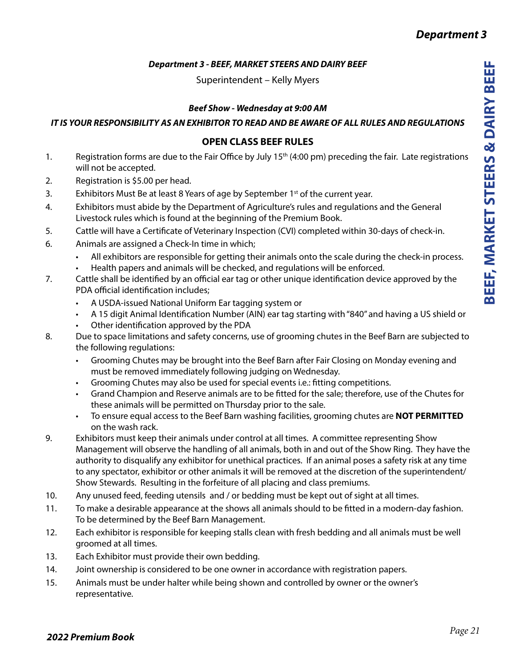## *Department 3 - BEEF, MARKET STEERS AND DAIRY BEEF*

Superintendent – Kelly Myers

## *Beef Show - Wednesday at 9:00 AM*

## *IT IS YOUR RESPONSIBILITY AS AN EXHIBITOR TO READ AND BE AWARE OF ALL RULES AND REGULATIONS*

## **OPEN CLASS BEEF RULES**

- 1. Registration forms are due to the Fair Office by July 15<sup>th</sup> (4:00 pm) preceding the fair. Late registrations will not be accepted.
- 2. Registration is \$5.00 per head.
- 3. Exhibitors Must Be at least 8 Years of age by September 1<sup>st</sup> of the current year.
- 4. Exhibitors must abide by the Department of Agriculture's rules and regulations and the General Livestock rules which is found at the beginning of the Premium Book.
- 5. Cattle will have a Certificate of Veterinary Inspection (CVI) completed within 30-days of check-in.
- 6. Animals are assigned a Check-In time in which;
	- All exhibitors are responsible for getting their animals onto the scale during the check-in process.
	- Health papers and animals will be checked, and regulations will be enforced.
- 7. Cattle shall be identified by an official ear tag or other unique identification device approved by the PDA official identification includes;
	- A USDA-issued National Uniform Ear tagging system or
	- A 15 digit Animal Identification Number (AIN) ear tag starting with "840" and having a US shield or
	- Other identification approved by the PDA
- 8. Due to space limitations and safety concerns, use of grooming chutes in the Beef Barn are subjected to the following regulations:
	- Grooming Chutes may be brought into the Beef Barn after Fair Closing on Monday evening and must be removed immediately following judging on Wednesday.
	- Grooming Chutes may also be used for special events i.e.: fitting competitions.
	- Grand Champion and Reserve animals are to be fitted for the sale; therefore, use of the Chutes for these animals will be permitted on Thursday prior to the sale.
	- To ensure equal access to the Beef Barn washing facilities, grooming chutes are **NOT PERMITTED** on the wash rack.
- 9. Exhibitors must keep their animals under control at all times. A committee representing Show Management will observe the handling of all animals, both in and out of the Show Ring. They have the authority to disqualify any exhibitor for unethical practices. If an animal poses a safety risk at any time to any spectator, exhibitor or other animals it will be removed at the discretion of the superintendent/ Show Stewards. Resulting in the forfeiture of all placing and class premiums.
- 10. Any unused feed, feeding utensils and / or bedding must be kept out of sight at all times.
- 11. To make a desirable appearance at the shows all animals should to be fitted in a modern-day fashion. To be determined by the Beef Barn Management.
- 12. Each exhibitor is responsible for keeping stalls clean with fresh bedding and all animals must be well groomed at all times.
- 13. Each Exhibitor must provide their own bedding.
- 14. Joint ownership is considered to be one owner in accordance with registration papers.
- 15. Animals must be under halter while being shown and controlled by owner or the owner's representative.